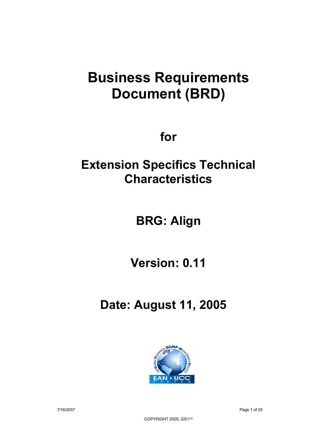# **Business Requirements Document (BRD)**

**for** 

**Extension Specifics Technical Characteristics** 

**BRG: Align** 

**Version: 0.11** 

 **Date: August 11, 2005** 

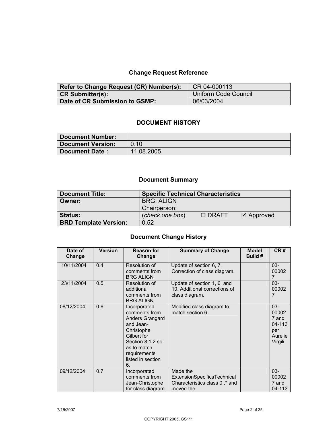# **Change Request Reference**

| Refer to Change Request (CR) Number(s): | CR 04-000113                |
|-----------------------------------------|-----------------------------|
| <b>CR Submitter(s):</b>                 | <b>Uniform Code Council</b> |
| Date of CR Submission to GSMP:          | 06/03/2004                  |

## **DOCUMENT HISTORY**

| Document Number:  |            |
|-------------------|------------|
| Document Version: | 0.10       |
| Document Date:    | 11.08.2005 |

# **Document Summary**

| <b>Document Title:</b>       | <b>Specific Technical Characteristics</b> |              |                      |
|------------------------------|-------------------------------------------|--------------|----------------------|
| Owner:                       | <b>BRG: ALIGN</b>                         |              |                      |
|                              | Chairperson:                              |              |                      |
| Status:                      | (check one box)                           | $\Box$ DRAFT | $\boxtimes$ Approved |
| <b>BRD Template Version:</b> | 0.52                                      |              |                      |

# **Document Change History**

| Date of<br>Change | <b>Version</b> | <b>Reason for</b><br>Change                                                                                                                                              | <b>Summary of Change</b>                                                                    | <b>Model</b><br>Build # | CR#                                                             |
|-------------------|----------------|--------------------------------------------------------------------------------------------------------------------------------------------------------------------------|---------------------------------------------------------------------------------------------|-------------------------|-----------------------------------------------------------------|
| 10/11/2004        | 0.4            | Resolution of<br>comments from<br><b>BRG ALIGN</b>                                                                                                                       | Update of section 6, 7.<br>Correction of class diagram.                                     |                         | $03 -$<br>00002<br>$\overline{7}$                               |
| 23/11/2004        | 0.5            | Resolution of<br>additional<br>comments from<br><b>BRG ALIGN</b>                                                                                                         | Update of section 1, 6, and<br>10. Additional corrections of<br>class diagram.              |                         | $03 -$<br>00002<br>7                                            |
| 08/12/2004        | 0.6            | Incorporated<br>comments from<br>Anders Grangard<br>and Jean-<br>Christophe<br>Gilbert for<br>Section 8.1.2 so<br>as to match<br>requirements<br>listed in section<br>6. | Modified class diagram to<br>match section 6.                                               |                         | $03 -$<br>00002<br>7 and<br>04-113<br>per<br>Aurelie<br>Virgili |
| 09/12/2004        | 0.7            | Incorporated<br>comments from<br>Jean-Christophe<br>for class diagram                                                                                                    | Made the<br><b>ExtensionSpecificsTechnical</b><br>Characteristics class 0* and<br>moved the |                         | $03 -$<br>00002<br>7 and<br>04-113                              |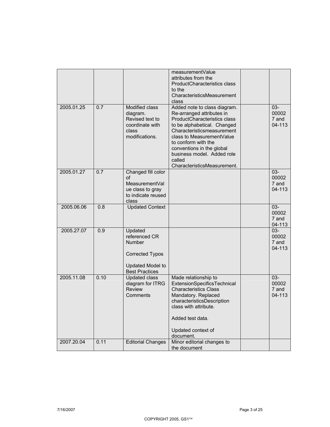|            |      |                                                                                                                  | measurementValue<br>attributes from the<br>ProductCharacteristics class<br>to the<br>CharacteristicsMeasurement<br>class                                                                                                                                                                                       |                                    |
|------------|------|------------------------------------------------------------------------------------------------------------------|----------------------------------------------------------------------------------------------------------------------------------------------------------------------------------------------------------------------------------------------------------------------------------------------------------------|------------------------------------|
| 2005.01.25 | 0.7  | Modified class<br>diagram.<br>Revised text to<br>coordinate with<br>class<br>modifications.                      | Added note to class diagram.<br>Re-arranged attributes in<br>ProductCharacteristics class<br>to be alphabetical. Changed<br>Characteristicsmeasurement<br>class to MeasurementValue<br>to conform with the<br>conventions in the global<br>business model. Added role<br>called<br>CharacteristicsMeasurement. | $03 -$<br>00002<br>7 and<br>04-113 |
| 2005.01.27 | 0.7  | Changed fill color<br>οf<br>MeasurementVal<br>ue class to gray<br>to indicate reused<br>class                    |                                                                                                                                                                                                                                                                                                                | $03 -$<br>00002<br>7 and<br>04-113 |
| 2005.06.06 | 0.8  | <b>Updated Context</b>                                                                                           |                                                                                                                                                                                                                                                                                                                | 03-<br>00002<br>7 and<br>04-113    |
| 2005.27.07 | 0.9  | Updated<br>referenced CR<br>Number<br><b>Corrected Typos</b><br><b>Updated Model to</b><br><b>Best Practices</b> |                                                                                                                                                                                                                                                                                                                | $03 -$<br>00002<br>7 and<br>04-113 |
| 2005.11.08 | 0.10 | <b>Updated class</b><br>diagram for ITRG<br><b>Review</b><br>Comments                                            | Made relationship to<br>ExtensionSpecificsTechnical<br><b>Characteristics Class</b><br>Mandatory. Replaced<br>characteristicsDescription<br>class with attribute.<br>Added test data.<br>Updated context of<br>document.                                                                                       | $03 -$<br>00002<br>7 and<br>04-113 |
| 2007.20.04 | 0.11 | <b>Editorial Changes</b>                                                                                         | Minor editorial changes to<br>the document                                                                                                                                                                                                                                                                     |                                    |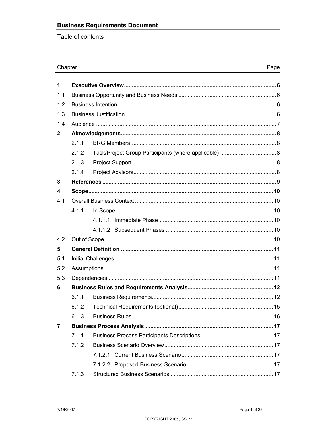Table of contents

#### Chapter

| 1            |       |  |  |
|--------------|-------|--|--|
| 1.1          |       |  |  |
| 1.2          |       |  |  |
| 1.3          |       |  |  |
| 1.4          |       |  |  |
| $\mathbf{2}$ |       |  |  |
|              | 2.1.1 |  |  |
|              | 2.1.2 |  |  |
|              | 2.1.3 |  |  |
|              | 2.1.4 |  |  |
| 3            |       |  |  |
| 4            |       |  |  |
| 4.1          |       |  |  |
|              | 4.1.1 |  |  |
|              |       |  |  |
|              |       |  |  |
| 4.2          |       |  |  |
| 5            |       |  |  |
| 5.1          |       |  |  |
| 5.2          |       |  |  |
| 5.3          |       |  |  |
| 6            |       |  |  |
|              | 6.1.1 |  |  |
|              | 6.1.2 |  |  |
|              | 6.1.3 |  |  |
| 7            |       |  |  |
|              | 7.1.1 |  |  |
|              | 7.1.2 |  |  |
|              |       |  |  |
|              |       |  |  |
|              | 7.1.3 |  |  |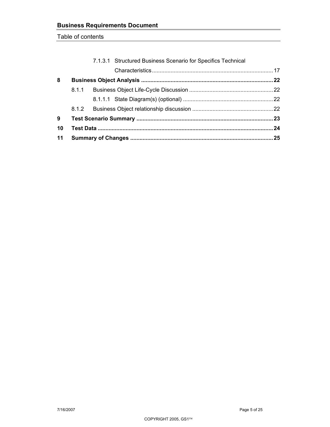Table of contents

| 11 |                                                              |  |
|----|--------------------------------------------------------------|--|
| 10 |                                                              |  |
| 9  |                                                              |  |
|    |                                                              |  |
|    |                                                              |  |
|    |                                                              |  |
| 8  |                                                              |  |
|    |                                                              |  |
|    | 7.1.3.1 Structured Business Scenario for Specifics Technical |  |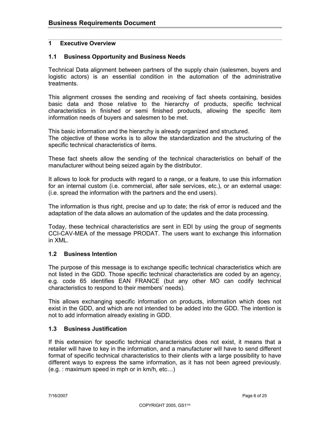#### **1 Executive Overview**

#### **1.1 Business Opportunity and Business Needs**

Technical Data alignment between partners of the supply chain (salesmen, buyers and logistic actors) is an essential condition in the automation of the administrative treatments.

This alignment crosses the sending and receiving of fact sheets containing, besides basic data and those relative to the hierarchy of products, specific technical characteristics in finished or semi finished products, allowing the specific item information needs of buyers and salesmen to be met.

This basic information and the hierarchy is already organized and structured. The objective of these works is to allow the standardization and the structuring of the specific technical characteristics of items.

These fact sheets allow the sending of the technical characteristics on behalf of the manufacturer without being seized again by the distributor.

It allows to look for products with regard to a range, or a feature, to use this information for an internal custom (i.e. commercial, after sale services, etc.), or an external usage: (i.e. spread the information with the partners and the end users).

The information is thus right, precise and up to date; the risk of error is reduced and the adaptation of the data allows an automation of the updates and the data processing.

Today, these technical characteristics are sent in EDI by using the group of segments CCI-CAV-MEA of the message PRODAT. The users want to exchange this information in XML.

#### **1.2 Business Intention**

The purpose of this message is to exchange specific technical characteristics which are not listed in the GDD. Those specific technical characteristics are coded by an agency, e.g. code 65 identifies EAN FRANCE (but any other MO can codify technical characteristics to respond to their members' needs).

This allows exchanging specific information on products, information which does not exist in the GDD, and which are not intended to be added into the GDD. The intention is not to add information already existing in GDD.

#### **1.3 Business Justification**

If this extension for specific technical characteristics does not exist, it means that a retailer will have to key in the information, and a manufacturer will have to send different format of specific technical characteristics to their clients with a large possibility to have different ways to express the same information, as it has not been agreed previously. (e.g. : maximum speed in mph or in km/h, etc…)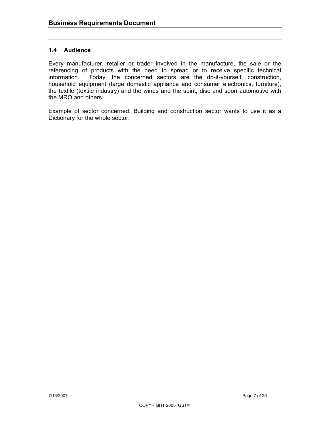#### **1.4 Audience**

Every manufacturer, retailer or trader involved in the manufacture, the sale or the referencing of products with the need to spread or to receive specific technical information. Today, the concerned sectors are the do-it-yourself, construction, household equipment (large domestic appliance and consumer electronics, furniture), the textile (textile industry) and the wines and the spirit, disc and soon automotive with the MRO and others.

Example of sector concerned: Building and construction sector wants to use it as a Dictionary for the whole sector.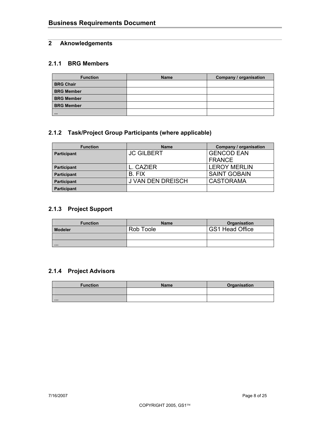## **2 Aknowledgements**

#### **2.1.1 BRG Members**

| <b>Function</b>   | <b>Name</b> | Company / organisation |
|-------------------|-------------|------------------------|
| <b>BRG Chair</b>  |             |                        |
| <b>BRG Member</b> |             |                        |
| <b>BRG Member</b> |             |                        |
| <b>BRG Member</b> |             |                        |
| 111               |             |                        |

## **2.1.2 Task/Project Group Participants (where applicable)**

| <b>Function</b>    | <b>Name</b>         | Company / organisation |
|--------------------|---------------------|------------------------|
| <b>Participant</b> | <b>I JC GILBERT</b> | <b>GENCOD EAN</b>      |
|                    |                     | <b>FRANCE</b>          |
| <b>Participant</b> | L. CAZIER           | <b>LEROY MERLIN</b>    |
| <b>Participant</b> | B. FIX              | <b>SAINT GOBAIN</b>    |
| <b>Participant</b> | J VAN DEN DREISCH   | <b>CASTORAMA</b>       |
| <b>Participant</b> |                     |                        |

# **2.1.3 Project Support**

| <b>Function</b> | <b>Name</b> | Organisation    |
|-----------------|-------------|-----------------|
| <b>Modeler</b>  | Rob Toole   | GS1 Head Office |
|                 |             |                 |
| $\cdots$        |             |                 |

## **2.1.4 Project Advisors**

| <b>Function</b> | <b>Name</b> | Organisation |
|-----------------|-------------|--------------|
|                 |             |              |
| .               |             |              |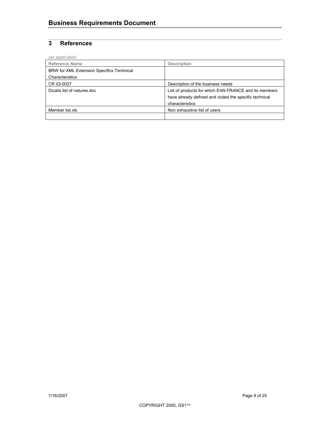# **3 References**

| (as applicable)                           |                                                       |
|-------------------------------------------|-------------------------------------------------------|
| <b>Reference Name</b>                     | <b>Description</b>                                    |
| BRW for XML Extension Specifics Technical |                                                       |
| Characteristics                           |                                                       |
| CR 03-0027                                | Description of the business needs                     |
| Dicalis list of natures.doc               | List of products for which EAN FRANCE and its members |
|                                           | have already defined and coded the specific technical |
|                                           | characteristics                                       |
| Member list.xls                           | Non exhaustive list of users                          |
|                                           |                                                       |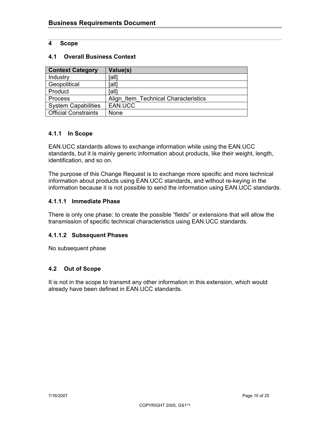#### **4 Scope**

#### **4.1 Overall Business Context**

| <b>Context Category</b>     | Value(s)                             |
|-----------------------------|--------------------------------------|
| Industry                    | [all]                                |
| Geopolitical                | [all]                                |
| Product                     | [all]                                |
| Process                     | Align Item Technical Characteristics |
| <b>System Capabilities</b>  | EAN.UCC                              |
| <b>Official Constraints</b> | None                                 |

#### **4.1.1 In Scope**

EAN.UCC standards allows to exchange information while using the EAN.UCC standards, but it is mainly generic information about products, like their weight, length, identification, and so on.

The purpose of this Change Request is to exchange more specific and more technical information about products using EAN.UCC standards, and without re-keying in the information because it is not possible to send the information using EAN.UCC standards.

#### **4.1.1.1 Immediate Phase**

There is only one phase: to create the possible "fields" or extensions that will allow the transmission of specific technical characteristics using EAN.UCC standards.

#### **4.1.1.2 Subsequent Phases**

No subsequent phase

#### **4.2 Out of Scope**

It is not in the scope to transmit any other information in this extension, which would already have been defined in EAN.UCC standards.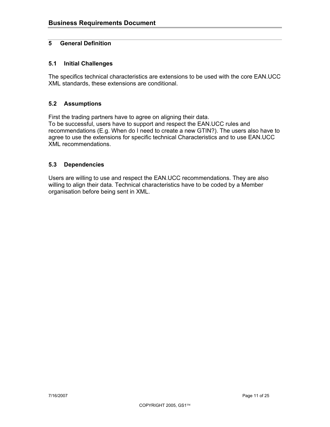#### **5 General Definition**

#### **5.1 Initial Challenges**

The specifics technical characteristics are extensions to be used with the core EAN.UCC XML standards, these extensions are conditional.

#### **5.2 Assumptions**

First the trading partners have to agree on aligning their data.

To be successful, users have to support and respect the EAN.UCC rules and recommendations (E.g. When do I need to create a new GTIN?). The users also have to agree to use the extensions for specific technical Characteristics and to use EAN.UCC XML recommendations.

#### **5.3 Dependencies**

Users are willing to use and respect the EAN.UCC recommendations. They are also willing to align their data. Technical characteristics have to be coded by a Member organisation before being sent in XML.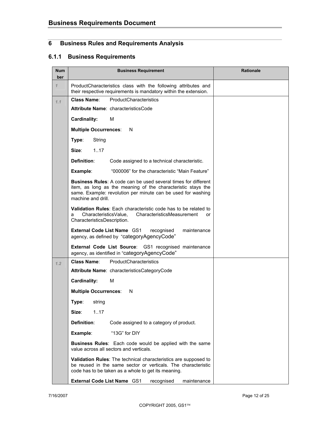# **6 Business Rules and Requirements Analysis**

#### **6.1.1 Business Requirements**

| <b>Num</b><br>ber | <b>Business Requirement</b>                                                                                                                                                                                                 | <b>Rationale</b> |
|-------------------|-----------------------------------------------------------------------------------------------------------------------------------------------------------------------------------------------------------------------------|------------------|
| $\mathcal I$      | ProductCharacteristics class with the following attributes and<br>their respective requirements is mandatory within the extension.                                                                                          |                  |
| 1.1               | ProductCharacteristics<br><b>Class Name:</b>                                                                                                                                                                                |                  |
|                   | Attribute Name: characteristicsCode                                                                                                                                                                                         |                  |
|                   | <b>Cardinality:</b><br>м                                                                                                                                                                                                    |                  |
|                   | <b>Multiple Occurrences:</b><br>N                                                                                                                                                                                           |                  |
|                   | Type:<br>String                                                                                                                                                                                                             |                  |
|                   | Size:<br>1.17                                                                                                                                                                                                               |                  |
|                   | Definition:<br>Code assigned to a technical characteristic.                                                                                                                                                                 |                  |
|                   | "000006" for the characteristic "Main Feature"<br>Example:                                                                                                                                                                  |                  |
|                   | <b>Business Rules:</b> A code can be used several times for different<br>item, as long as the meaning of the characteristic stays the<br>same. Example: revolution per minute can be used for washing<br>machine and drill. |                  |
|                   | <b>Validation Rules:</b> Each characteristic code has to be related to<br>CharacteristicsValue,<br>CharacteristicsMeasurement<br>a<br>or<br>CharacteristicsDescription.                                                     |                  |
|                   | External Code List Name GS1<br>maintenance<br>recognised<br>agency, as defined by "categoryAgencyCode"                                                                                                                      |                  |
|                   | External Code List Source: GS1 recognised maintenance<br>agency, as identified in "categoryAgencyCode"                                                                                                                      |                  |
| 1,2               | <b>Class Name:</b><br>ProductCharacteristics                                                                                                                                                                                |                  |
|                   | Attribute Name: characteristicsCategoryCode                                                                                                                                                                                 |                  |
|                   | <b>Cardinality:</b><br>м                                                                                                                                                                                                    |                  |
|                   | <b>Multiple Occurrences:</b><br>N                                                                                                                                                                                           |                  |
|                   | Type:<br>string                                                                                                                                                                                                             |                  |
|                   | 1.17<br>Size:                                                                                                                                                                                                               |                  |
|                   | Definition:<br>Code assigned to a category of product.                                                                                                                                                                      |                  |
|                   | "13G" for DIY<br>Example:                                                                                                                                                                                                   |                  |
|                   | <b>Business Rules:</b> Each code would be applied with the same<br>value across all sectors and verticals.                                                                                                                  |                  |
|                   | Validation Rules: The technical characteristics are supposed to<br>be reused in the same sector or verticals. The characteristic<br>code has to be taken as a whole to get its meaning.                                     |                  |
|                   | <b>External Code List Name GS1</b><br>maintenance<br>recognised                                                                                                                                                             |                  |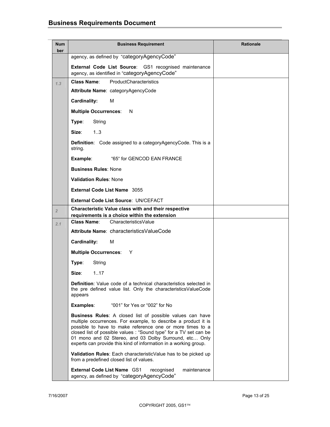| <b>Num</b><br>ber | <b>Business Requirement</b>                                                                                                                                                                                                                                                                                                                                                                        | <b>Rationale</b> |
|-------------------|----------------------------------------------------------------------------------------------------------------------------------------------------------------------------------------------------------------------------------------------------------------------------------------------------------------------------------------------------------------------------------------------------|------------------|
|                   | agency, as defined by "categoryAgencyCode"                                                                                                                                                                                                                                                                                                                                                         |                  |
|                   | External Code List Source: GS1 recognised maintenance<br>agency, as identified in "categoryAgencyCode"                                                                                                                                                                                                                                                                                             |                  |
| 1.3               | ProductCharacteristics<br><b>Class Name:</b>                                                                                                                                                                                                                                                                                                                                                       |                  |
|                   | Attribute Name: categoryAgencyCode                                                                                                                                                                                                                                                                                                                                                                 |                  |
|                   | Cardinality:<br>M                                                                                                                                                                                                                                                                                                                                                                                  |                  |
|                   | <b>Multiple Occurrences:</b><br>N                                                                                                                                                                                                                                                                                                                                                                  |                  |
|                   | Type:<br>String                                                                                                                                                                                                                                                                                                                                                                                    |                  |
|                   | 13<br>Size:                                                                                                                                                                                                                                                                                                                                                                                        |                  |
|                   | Definition: Code assigned to a categoryAgencyCode. This is a<br>string.                                                                                                                                                                                                                                                                                                                            |                  |
|                   | "65" for GENCOD EAN FRANCE<br>Example:                                                                                                                                                                                                                                                                                                                                                             |                  |
|                   | <b>Business Rules: None</b>                                                                                                                                                                                                                                                                                                                                                                        |                  |
|                   | <b>Validation Rules: None</b>                                                                                                                                                                                                                                                                                                                                                                      |                  |
|                   | <b>External Code List Name 3055</b>                                                                                                                                                                                                                                                                                                                                                                |                  |
|                   | External Code List Source: UN/CEFACT                                                                                                                                                                                                                                                                                                                                                               |                  |
| $\overline{2}$    | <b>Characteristic Value class with and their respective</b><br>requirements is a choice within the extension                                                                                                                                                                                                                                                                                       |                  |
| 2.1               | Class Name:<br>CharacteristicsValue                                                                                                                                                                                                                                                                                                                                                                |                  |
|                   | Attribute Name: characteristics Value Code                                                                                                                                                                                                                                                                                                                                                         |                  |
|                   | Cardinality:<br>м                                                                                                                                                                                                                                                                                                                                                                                  |                  |
|                   | <b>Multiple Occurrences:</b><br>Y                                                                                                                                                                                                                                                                                                                                                                  |                  |
|                   | Type:<br>String                                                                                                                                                                                                                                                                                                                                                                                    |                  |
|                   | Size:<br>1.17                                                                                                                                                                                                                                                                                                                                                                                      |                  |
|                   | <b>Definition:</b> Value code of a technical characteristics selected in<br>the pre defined value list. Only the characteristics Value Code<br>appears                                                                                                                                                                                                                                             |                  |
|                   | "001" for Yes or "002" for No<br>Examples:                                                                                                                                                                                                                                                                                                                                                         |                  |
|                   | <b>Business Rules:</b> A closed list of possible values can have<br>multiple occurrences. For example, to describe a product it is<br>possible to have to make reference one or more times to a<br>closed list of possible values : "Sound type" for a TV set can be<br>01 mono and 02 Stereo, and 03 Dolby Surround, etc Only<br>experts can provide this kind of information in a working group. |                  |
|                   | Validation Rules: Each characteristicValue has to be picked up<br>from a predefined closed list of values.                                                                                                                                                                                                                                                                                         |                  |
|                   | <b>External Code List Name GS1</b><br>recognised<br>maintenance<br>agency, as defined by "categoryAgencyCode"                                                                                                                                                                                                                                                                                      |                  |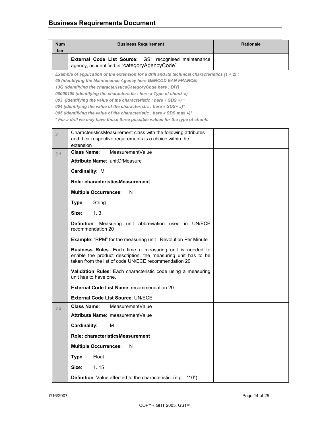| Num<br>ber | <b>Business Requirement</b>                                                                            | <b>Rationale</b> |
|------------|--------------------------------------------------------------------------------------------------------|------------------|
|            | External Code List Source: GS1 recognised maintenance<br>agency, as identified in "categoryAgencyCode" |                  |

*Example of application of the extension for a drill and its technical characteristics (1 + 2) :* 

*65 (identifying the Maintenance Agency here GENCOD EAN FRANCE)* 

*13G (identifying the characteristicsCategoryCode here : DIY)* 

*00000109 (identifying the characteristic : here « Type of chunk »)* 

*003 (identifying the value of the characteristic : here « SDS ») \** 

*004 (identifying the value of the characteristic : here « SDS+ »)\** 

*005 (identifying the value of the characteristic : here « SDS max »)\** 

*\* For a drill we may have those three possible values for the type of chunk.* 

| 3   | CharacteristicsMeasurement class with the following attributes                                                                                                                  |  |
|-----|---------------------------------------------------------------------------------------------------------------------------------------------------------------------------------|--|
|     | and their respective requirements is a choice within the                                                                                                                        |  |
|     | extension                                                                                                                                                                       |  |
| 3.1 | <b>Class Name:</b><br>MeasurementValue                                                                                                                                          |  |
|     | Attribute Name: unitOfMeasure                                                                                                                                                   |  |
|     | Cardinality: M                                                                                                                                                                  |  |
|     | Role: characteristicsMeasurement                                                                                                                                                |  |
|     | <b>Multiple Occurrences:</b><br>N                                                                                                                                               |  |
|     | Type:<br>String                                                                                                                                                                 |  |
|     | Size:<br>13                                                                                                                                                                     |  |
|     | Definition: Measuring unit abbreviation used in UN/ECE<br>recommendation 20                                                                                                     |  |
|     | <b>Example: "RPM" for the measuring unit: Revolution Per Minute</b>                                                                                                             |  |
|     | Business Rules: Each time a measuring unit is needed to<br>enable the product description, the measuring unit has to be<br>taken from the list of code UN/ECE recommendation 20 |  |
|     | Validation Rules: Each characteristic code using a measuring<br>unit has to have one.                                                                                           |  |
|     | <b>External Code List Name: recommendation 20</b>                                                                                                                               |  |
|     | <b>External Code List Source: UN/ECE</b>                                                                                                                                        |  |
| 3.2 | <b>Class Name:</b><br>MeasurementValue                                                                                                                                          |  |
|     | Attribute Name: measurement Value                                                                                                                                               |  |
|     | <b>Cardinality:</b><br>м                                                                                                                                                        |  |
|     | Role: characteristicsMeasurement                                                                                                                                                |  |
|     | <b>Multiple Occurrences:</b><br>N                                                                                                                                               |  |
|     | Type:<br>Float                                                                                                                                                                  |  |
|     | 1.15<br>Size:                                                                                                                                                                   |  |
|     | Definition: Value affected to the characteristic. (e.g.: "10")                                                                                                                  |  |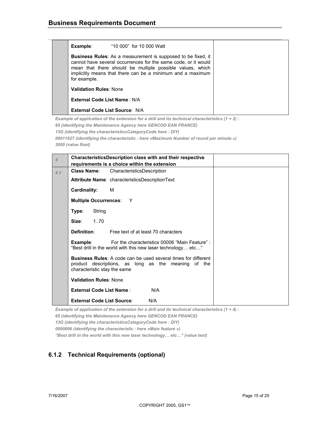| Example:                       | "10 000" for 10 000 Watt                                                                                                                                                                                                                                  |  |
|--------------------------------|-----------------------------------------------------------------------------------------------------------------------------------------------------------------------------------------------------------------------------------------------------------|--|
| for example.                   | Business Rules: As a measurement is supposed to be fixed, it<br>cannot have several occurrences for the same code, or it would<br>mean that there should be multiple possible values, which<br>implicitly means that there can be a minimum and a maximum |  |
| <b>Validation Rules: None</b>  |                                                                                                                                                                                                                                                           |  |
| External Code List Name: N/A   |                                                                                                                                                                                                                                                           |  |
| External Code List Source: N/A |                                                                                                                                                                                                                                                           |  |

*Example of application of the extension for a drill and its technical characteristics (1 + 3) : 65 (identifying the Maintenance Agency here GENCOD EAN FRANCE) 13G (identifying the characteristicsCategoryCode here : DIY) 00011627 (identifying the characteristic : here «Maximum Number of round per minute »)* 

*2000 (value float)* 

| $\overline{4}$ | <b>CharacteristicsDescription class with and their respective</b> |        |                                                                                                                                                              |
|----------------|-------------------------------------------------------------------|--------|--------------------------------------------------------------------------------------------------------------------------------------------------------------|
|                |                                                                   |        | requirements is a choice within the extension                                                                                                                |
| 4.1            | <b>Class Name:</b>                                                |        | CharacteristicsDescription                                                                                                                                   |
|                |                                                                   |        | Attribute Name: characteristicsDescriptionText                                                                                                               |
|                | Cardinality:                                                      |        | м                                                                                                                                                            |
|                |                                                                   |        | Multiple Occurrences: Y                                                                                                                                      |
|                | Type:                                                             | String |                                                                                                                                                              |
|                | Size:                                                             | 170    |                                                                                                                                                              |
|                | Definition:                                                       |        | Free text of at least 70 characters                                                                                                                          |
|                | Example:                                                          |        | For the characteristics 00006 "Main Feature" :<br>"Best drill in the world with this new laser technology etc"                                               |
|                |                                                                   |        | <b>Business Rules:</b> A code can be used several times for different<br>product descriptions, as long as the meaning of the<br>characteristic stay the same |
|                | <b>Validation Rules: None</b>                                     |        |                                                                                                                                                              |
|                |                                                                   |        | <b>External Code List Name:</b><br>N/A                                                                                                                       |
|                |                                                                   |        | <b>External Code List Source:</b><br>N/A                                                                                                                     |

*Example of application of the extension for a drill and its technical characteristics (1 + 4) : 65 (identifying the Maintenance Agency here GENCOD EAN FRANCE) 13G (identifying the characteristicsCategoryCode here : DIY) 0000006 (identifying the characteristic : here «Main feature ») "Best drill in the world with this new laser technology… etc…" (value text)* 

#### **6.1.2 Technical Requirements (optional)**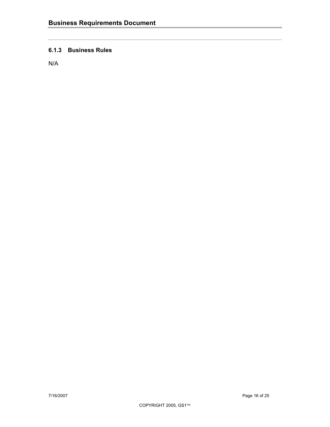#### **6.1.3 Business Rules**

N/A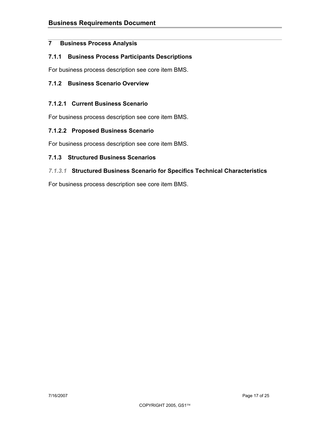#### **7 Business Process Analysis**

#### **7.1.1 Business Process Participants Descriptions**

For business process description see core item BMS.

#### **7.1.2 Business Scenario Overview**

#### **7.1.2.1 Current Business Scenario**

For business process description see core item BMS.

#### **7.1.2.2 Proposed Business Scenario**

For business process description see core item BMS.

#### **7.1.3 Structured Business Scenarios**

#### *7.1.3.1* **Structured Business Scenario for Specifics Technical Characteristics**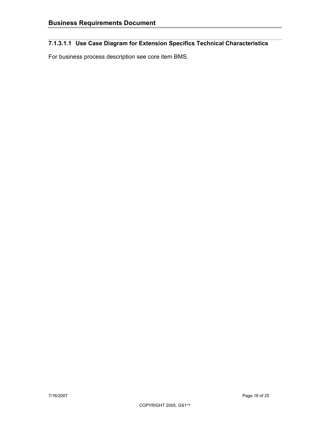# **7.1.3.1.1 Use Case Diagram for Extension Specifics Technical Characteristics**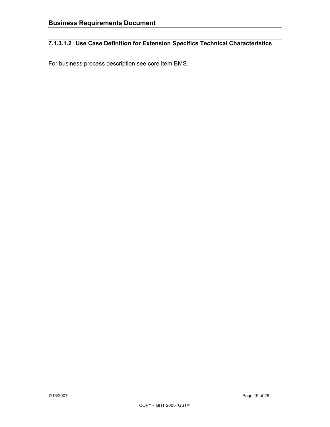# **7.1.3.1.2 Use Case Definition for Extension Specifics Technical Characteristics**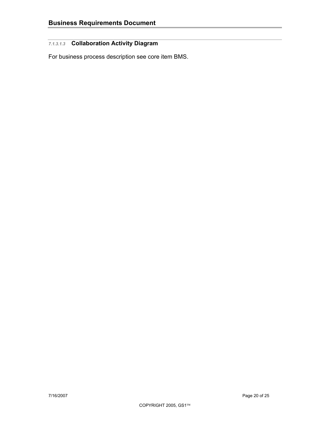# *7.1.3.1.3* **Collaboration Activity Diagram**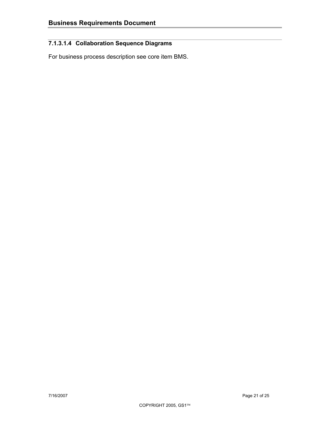# **7.1.3.1.4 Collaboration Sequence Diagrams**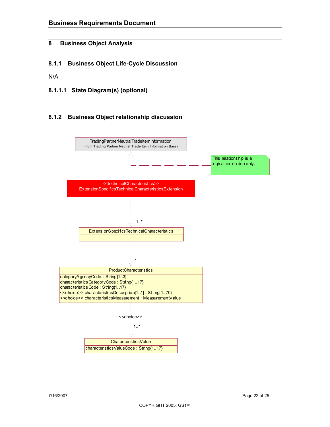#### **8 Business Object Analysis**

**8.1.1 Business Object Life-Cycle Discussion** 

N/A

**8.1.1.1 State Diagram(s) (optional)** 

#### **8.1.2 Business Object relationship discussion**

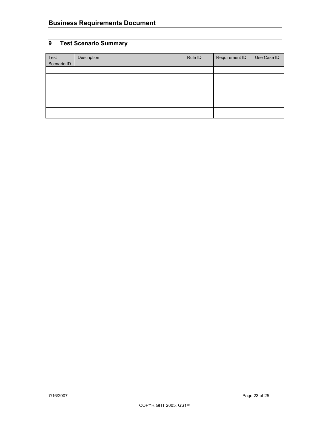# **9 Test Scenario Summary**

| Test<br>Scenario ID | Description | Rule ID | Requirement ID | Use Case ID |
|---------------------|-------------|---------|----------------|-------------|
|                     |             |         |                |             |
|                     |             |         |                |             |
|                     |             |         |                |             |
|                     |             |         |                |             |
|                     |             |         |                |             |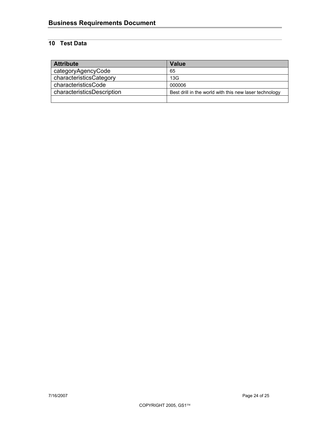# **10 Test Data**

| <b>Attribute</b>           | Value                                                  |
|----------------------------|--------------------------------------------------------|
| categoryAgencyCode         | 65                                                     |
| characteristicsCategory    | 13G                                                    |
| characteristicsCode        | 000006                                                 |
| characteristicsDescription | Best drill in the world with this new laser technology |
|                            |                                                        |